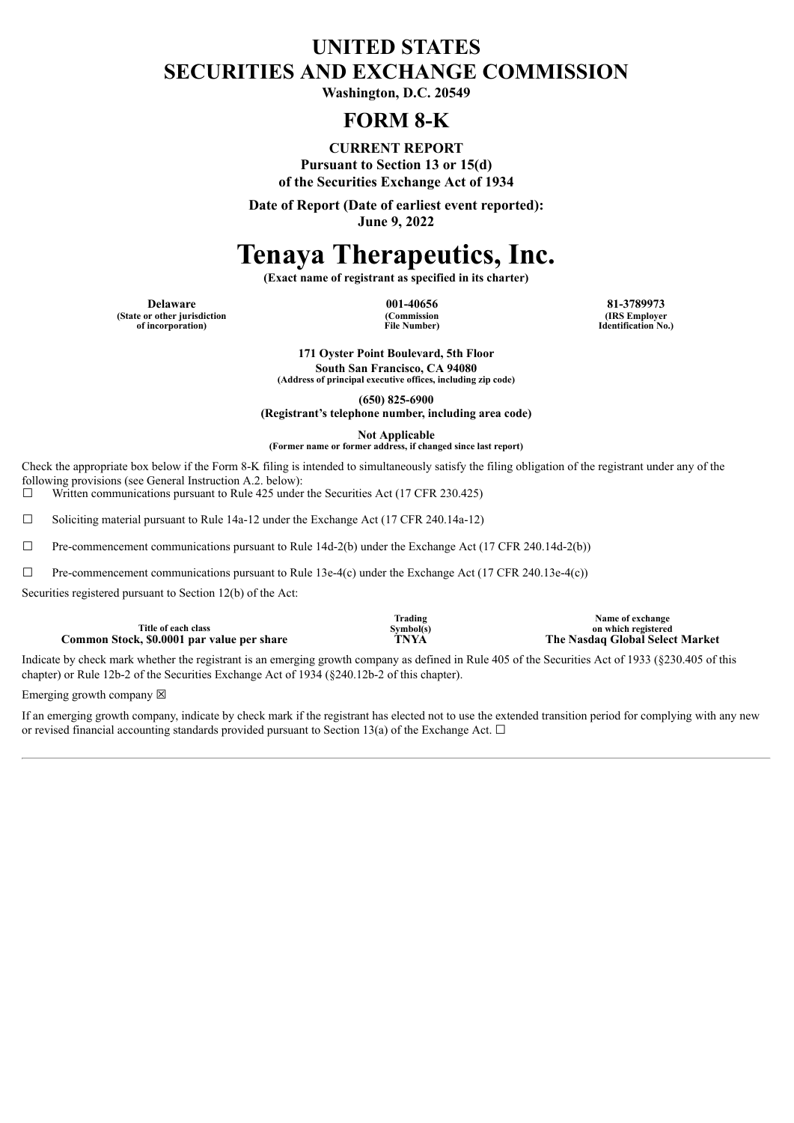### **UNITED STATES SECURITIES AND EXCHANGE COMMISSION**

**Washington, D.C. 20549**

### **FORM 8-K**

**CURRENT REPORT Pursuant to Section 13 or 15(d) of the Securities Exchange Act of 1934**

**Date of Report (Date of earliest event reported): June 9, 2022**

# **Tenaya Therapeutics, Inc.**

**(Exact name of registrant as specified in its charter)**

**Delaware 001-40656 81-3789973 (State or other jurisdiction of incorporation)**

**(Commission File Number)**

**(IRS Employer Identification No.)**

**171 Oyster Point Boulevard, 5th Floor South San Francisco, CA 94080 (Address of principal executive offices, including zip code)**

**(650) 825-6900**

**(Registrant's telephone number, including area code)**

**Not Applicable**

**(Former name or former address, if changed since last report)**

Check the appropriate box below if the Form 8-K filing is intended to simultaneously satisfy the filing obligation of the registrant under any of the following provisions (see General Instruction A.2. below):<br> $\Box$  Written communications pursuant to Rule 425 under

Written communications pursuant to Rule 425 under the Securities Act (17 CFR 230.425)

 $\Box$  Soliciting material pursuant to Rule 14a-12 under the Exchange Act (17 CFR 240.14a-12)

 $\Box$  Pre-commencement communications pursuant to Rule 14d-2(b) under the Exchange Act (17 CFR 240.14d-2(b))

 $\Box$  Pre-commencement communications pursuant to Rule 13e-4(c) under the Exchange Act (17 CFR 240.13e-4(c))

Securities registered pursuant to Section 12(b) of the Act:

**Title of each class Common Stock, \$0.0001 par value per share** 

**Trading Symbol(s)**

**Name of exchange** on which registered<br>The Nasdaq Global Select Market

Indicate by check mark whether the registrant is an emerging growth company as defined in Rule 405 of the Securities Act of 1933 (§230.405 of this chapter) or Rule 12b-2 of the Securities Exchange Act of 1934 (§240.12b-2 of this chapter).

Emerging growth company  $\boxtimes$ 

If an emerging growth company, indicate by check mark if the registrant has elected not to use the extended transition period for complying with any new or revised financial accounting standards provided pursuant to Section 13(a) of the Exchange Act.  $\Box$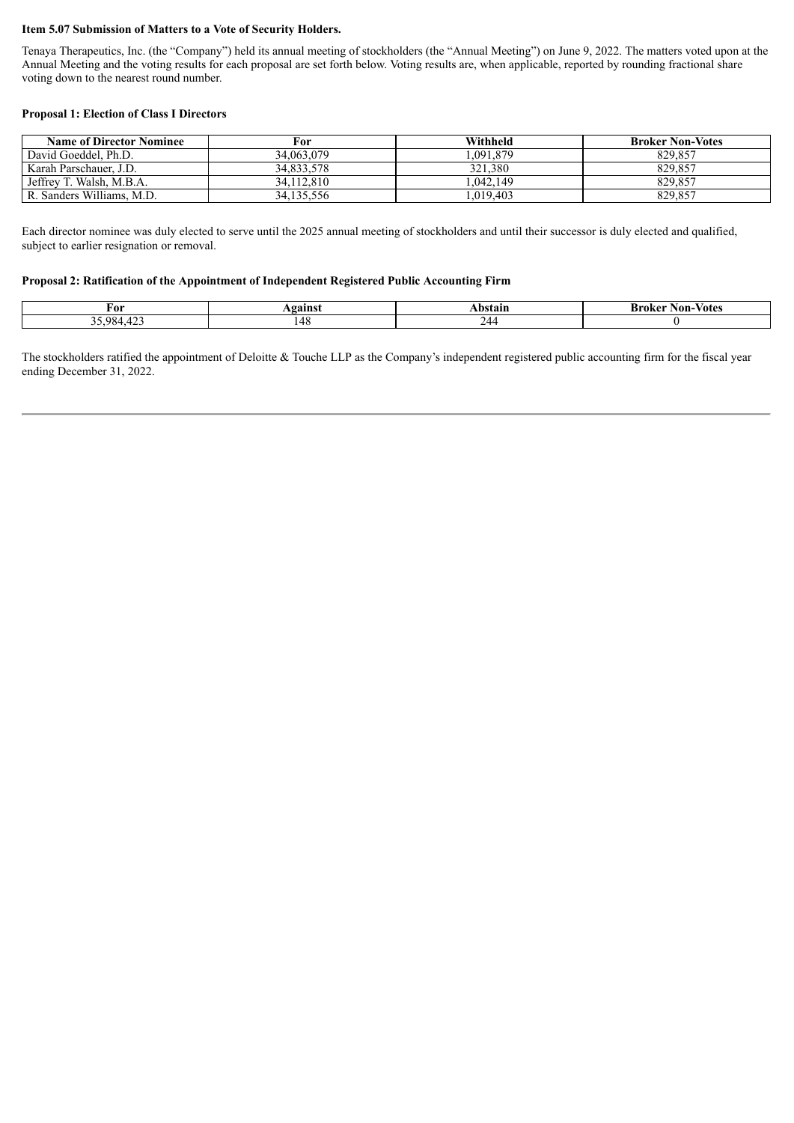#### **Item 5.07 Submission of Matters to a Vote of Security Holders.**

Tenaya Therapeutics, Inc. (the "Company") held its annual meeting of stockholders (the "Annual Meeting") on June 9, 2022. The matters voted upon at the Annual Meeting and the voting results for each proposal are set forth below. Voting results are, when applicable, reported by rounding fractional share voting down to the nearest round number.

#### **Proposal 1: Election of Class I Directors**

| <b>Name of Director Nominee</b> | For        | Withheld | <b>Broker Non-Votes</b> |
|---------------------------------|------------|----------|-------------------------|
| David Goeddel, Ph.D.            | 34.063.079 | .091.879 | 829.857                 |
| Karah Parschauer, J.D.          | 34.833.578 | 321.380  | 829.857                 |
| Jeffrey T. Walsh, M.B.A.        | 34.112.810 | .042.149 | 829.857                 |
| R. Sanders Williams, M.D.       | 34.135.556 | .019.403 | 829.857                 |

Each director nominee was duly elected to serve until the 2025 annual meeting of stockholders and until their successor is duly elected and qualified, subject to earlier resignation or removal.

#### **Proposal 2: Ratification of the Appointment of Independent Registered Public Accounting Firm**

| ≠or                                     | <b>gainst</b> | \bstair | Brok<br><b>Votes</b><br>Non |
|-----------------------------------------|---------------|---------|-----------------------------|
| $\sqrt{2}$<br>$QQ\angle$<br>.<br>.<br>ັ | 148           | łД.     |                             |

The stockholders ratified the appointment of Deloitte & Touche LLP as the Company's independent registered public accounting firm for the fiscal year ending December 31, 2022.